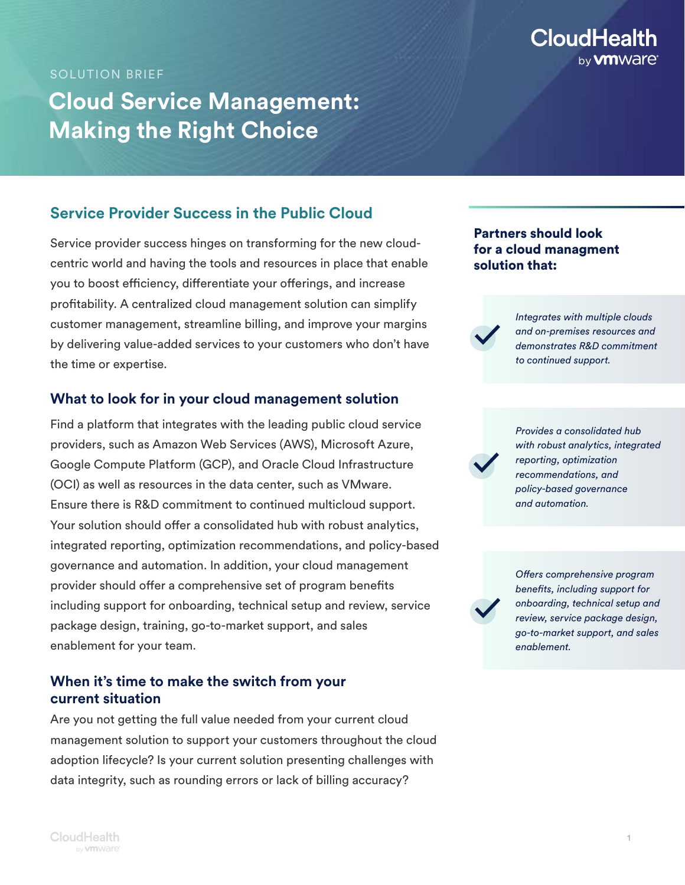#### SOLUTION BRIEF

# **Cloud Service Management: Making the Right Choice**

## **Service Provider Success in the Public Cloud**

Service provider success hinges on transforming for the new cloudcentric world and having the tools and resources in place that enable you to boost efficiency, differentiate your offerings, and increase profitability. A centralized cloud management solution can simplify customer management, streamline billing, and improve your margins by delivering value-added services to your customers who don't have the time or expertise.

## **What to look for in your cloud management solution**

Find a platform that integrates with the leading public cloud service providers, such as Amazon Web Services (AWS), Microsoft Azure, Google Compute Platform (GCP), and Oracle Cloud Infrastructure (OCI) as well as resources in the data center, such as VMware. Ensure there is R&D commitment to continued multicloud support. Your solution should offer a consolidated hub with robust analytics, integrated reporting, optimization recommendations, and policy-based governance and automation. In addition, your cloud management provider should offer a comprehensive set of program benefits including support for onboarding, technical setup and review, service package design, training, go-to-market support, and sales enablement for your team.

## **When it's time to make the switch from your current situation**

Are you not getting the full value needed from your current cloud management solution to support your customers throughout the cloud adoption lifecycle? Is your current solution presenting challenges with data integrity, such as rounding errors or lack of billing accuracy?

## Partners should look for a cloud managment solution that:



*Integrates with multiple clouds and on-premises resources and demonstrates R&D commitment to continued support.*



*Provides a consolidated hub with robust analytics, integrated reporting, optimization recommendations, and policy-based governance and automation.*

*Offers comprehensive program benefits, including support for onboarding, technical setup and review, service package design, go-to-market support, and sales enablement.*

**CloudHealth** 

by **vm** Ware<sup>®</sup>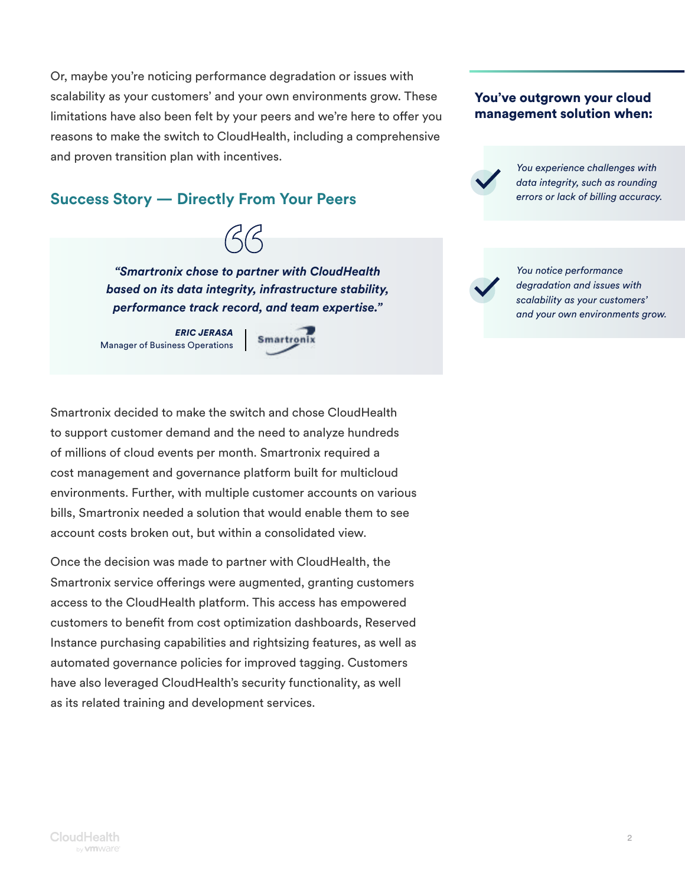Or, maybe you're noticing performance degradation or issues with scalability as your customers' and your own environments grow. These limitations have also been felt by your peers and we're here to offer you reasons to make the switch to CloudHealth, including a comprehensive and proven transition plan with incentives.

# **Success Story — Directly From Your Peers**

 $\beta\beta$ 

*"Smartronix chose to partner with CloudHealth based on its data integrity, infrastructure stability, performance track record, and team expertise."* 

*ERIC JERASA* Manager of Business Operations **Smartronix** 

Smartronix decided to make the switch and chose CloudHealth to support customer demand and the need to analyze hundreds of millions of cloud events per month. Smartronix required a cost management and governance platform built for multicloud environments. Further, with multiple customer accounts on various bills, Smartronix needed a solution that would enable them to see account costs broken out, but within a consolidated view.

Once the decision was made to partner with CloudHealth, the Smartronix service offerings were augmented, granting customers access to the CloudHealth platform. This access has empowered customers to benefit from cost optimization dashboards, Reserved Instance purchasing capabilities and rightsizing features, as well as automated governance policies for improved tagging. Customers have also leveraged CloudHealth's security functionality, as well as its related training and development services.

#### You've outgrown your cloud management solution when:



*You experience challenges with data integrity, such as rounding errors or lack of billing accuracy.* 

*You notice performance degradation and issues with scalability as your customers' and your own environments grow.*